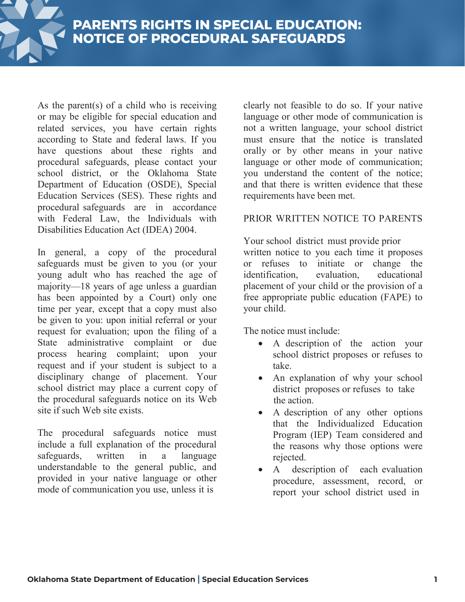

**PARENTS RIGHTS IN SPECIAL EDUCATION:** 

As the parent(s) of a child who is receiving or may be eligible for special education and related services, you have certain rights according to State and federal laws. If you have questions about these rights and procedural safeguards, please contact your school district, or the Oklahoma State Department of Education (OSDE), Special Education Services (SES). These rights and procedural safeguards are in accordance with Federal Law, the Individuals with Disabilities Education Act (IDEA) 2004.

In general, a copy of the procedural safeguards must be given to you (or your young adult who has reached the age of majority—18 years of age unless a guardian has been appointed by a Court) only one time per year, except that a copy must also be given to you: upon initial referral or your request for evaluation; upon the filing of a State administrative complaint or due process hearing complaint; upon your request and if your student is subject to a disciplinary change of placement. Your school district may place a current copy of the procedural safeguards notice on its Web site if such Web site exists.

The procedural safeguards notice must include a full explanation of the procedural safeguards, written in a language understandable to the general public, and provided in your native language or other mode of communication you use, unless it is

clearly not feasible to do so. If your native language or other mode of communication is not a written language, your school district must ensure that the notice is translated orally or by other means in your native language or other mode of communication; you understand the content of the notice; and that there is written evidence that these requirements have been met.

# PRIOR WRITTEN NOTICE TO PARENTS

Your school district must provide prior written notice to you each time it proposes or refuses to initiate or change the identification, evaluation, educational placement of your child or the provision of a free appropriate public education (FAPE) to your child.

The notice must include:

- A description of the action your school district proposes or refuses to take.
- An explanation of why your school district proposes or refuses to take the action.
- A description of any other options that the Individualized Education Program (IEP) Team considered and the reasons why those options were rejected.
- A description of each evaluation procedure, assessment, record, or report your school district used in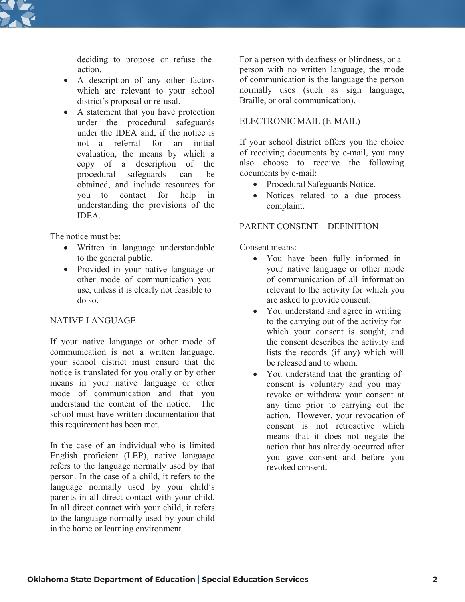

action.

- A description of any other factors which are relevant to your school district's proposal or refusal.
- A statement that you have protection under the procedural safeguards under the IDEA and, if the notice is not a referral for an initial evaluation, the means by which a copy of a description of the procedural safeguards can be obtained, and include resources for you to contact for help in understanding the provisions of the **IDEA**

The notice must be:

- Written in language understandable to the general public.
- Provided in your native language or other mode of communication you use, unless it is clearly not feasible to do so.

## NATIVE LANGUAGE

If your native language or other mode of communication is not a written language, your school district must ensure that the notice is translated for you orally or by other means in your native language or other mode of communication and that you understand the content of the notice. The school must have written documentation that this requirement has been met.

In the case of an individual who is limited English proficient (LEP), native language refers to the language normally used by that person. In the case of a child, it refers to the language normally used by your child's parents in all direct contact with your child. In all direct contact with your child, it refers to the language normally used by your child in the home or learning environment.

deciding to propose or refuse the For a person with deafness or blindness, or a person with no written language, the mode of communication is the language the person normally uses (such as sign language, Braille, or oral communication).

### ELECTRONIC MAIL (E-MAIL)

If your school district offers you the choice of receiving documents by e-mail, you may also choose to receive the following documents by e-mail:

- Procedural Safeguards Notice.
- Notices related to a due process complaint.

### PARENT CONSENT—DEFINITION

Consent means:

- You have been fully informed in your native language or other mode of communication of all information relevant to the activity for which you are asked to provide consent.
- You understand and agree in writing to the carrying out of the activity for which your consent is sought, and the consent describes the activity and lists the records (if any) which will be released and to whom.
- You understand that the granting of consent is voluntary and you may revoke or withdraw your consent at any time prior to carrying out the action. However, your revocation of consent is not retroactive which means that it does not negate the action that has already occurred after you gave consent and before you revoked consent.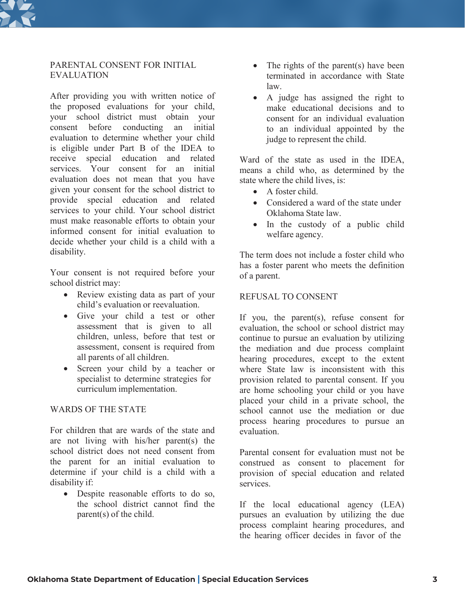

### PARENTAL CONSENT FOR INITIAL EVALUATION

After providing you with written notice of the proposed evaluations for your child, your school district must obtain your consent before conducting an initial evaluation to determine whether your child is eligible under Part B of the IDEA to receive special education and related services. Your consent for an initial evaluation does not mean that you have given your consent for the school district to provide special education and related services to your child. Your school district must make reasonable efforts to obtain your informed consent for initial evaluation to decide whether your child is a child with a disability.

Your consent is not required before your school district may:

- Review existing data as part of your child's evaluation or reevaluation.
- Give your child a test or other assessment that is given to all children, unless, before that test or assessment, consent is required from all parents of all children.
- Screen your child by a teacher or specialist to determine strategies for curriculum implementation.

## WARDS OF THE STATE

For children that are wards of the state and are not living with his/her parent(s) the school district does not need consent from the parent for an initial evaluation to determine if your child is a child with a disability if:

• Despite reasonable efforts to do so, the school district cannot find the parent(s) of the child.

- The rights of the parent(s) have been terminated in accordance with State law.
- A judge has assigned the right to make educational decisions and to consent for an individual evaluation to an individual appointed by the judge to represent the child.

Ward of the state as used in the IDEA, means a child who, as determined by the state where the child lives, is:

- A foster child
- Considered a ward of the state under Oklahoma State law.
- In the custody of a public child welfare agency.

The term does not include a foster child who has a foster parent who meets the definition of a parent.

### REFUSAL TO CONSENT

If you, the parent(s), refuse consent for evaluation, the school or school district may continue to pursue an evaluation by utilizing the mediation and due process complaint hearing procedures, except to the extent where State law is inconsistent with this provision related to parental consent. If you are home schooling your child or you have placed your child in a private school, the school cannot use the mediation or due process hearing procedures to pursue an evaluation.

Parental consent for evaluation must not be construed as consent to placement for provision of special education and related services.

If the local educational agency (LEA) pursues an evaluation by utilizing the due process complaint hearing procedures, and the hearing officer decides in favor of the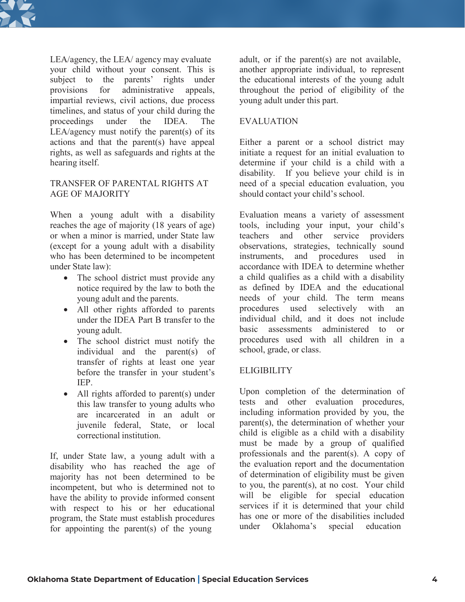

 $LEA/a$ gency, the  $LEA/a$  gency may evaluate adult, or if the parent(s) are not available, your child without your consent. This is subject to the parents' rights under provisions for administrative appeals, impartial reviews, civil actions, due process timelines, and status of your child during the proceedings under the IDEA. The LEA/agency must notify the parent(s) of its actions and that the parent(s) have appeal rights, as well as safeguards and rights at the hearing itself.

#### TRANSFER OF PARENTAL RIGHTS AT AGE OF MAJORITY

When a young adult with a disability reaches the age of majority (18 years of age) or when a minor is married, under State law (except for a young adult with a disability who has been determined to be incompetent under State law):

- The school district must provide any notice required by the law to both the young adult and the parents.
- All other rights afforded to parents under the IDEA Part B transfer to the young adult.
- The school district must notify the individual and the parent(s) of transfer of rights at least one year before the transfer in your student's IEP.
- All rights afforded to parent(s) under this law transfer to young adults who are incarcerated in an adult or juvenile federal, State, or local correctional institution.

If, under State law, a young adult with a disability who has reached the age of majority has not been determined to be incompetent, but who is determined not to have the ability to provide informed consent with respect to his or her educational program, the State must establish procedures for appointing the parent(s) of the young

another appropriate individual, to represent the educational interests of the young adult throughout the period of eligibility of the young adult under this part.

### EVALUATION

Either a parent or a school district may initiate a request for an initial evaluation to determine if your child is a child with a disability. If you believe your child is in need of a special education evaluation, you should contact your child's school.

Evaluation means a variety of assessment tools, including your input, your child's teachers and other service providers observations, strategies, technically sound instruments, and procedures used in accordance with IDEA to determine whether a child qualifies as a child with a disability as defined by IDEA and the educational needs of your child. The term means procedures used selectively with an individual child, and it does not include basic assessments administered to or procedures used with all children in a school, grade, or class.

## **ELIGIBILITY**

Upon completion of the determination of tests and other evaluation procedures, including information provided by you, the parent(s), the determination of whether your child is eligible as a child with a disability must be made by a group of qualified professionals and the parent(s). A copy of the evaluation report and the documentation of determination of eligibility must be given to you, the parent(s), at no cost. Your child will be eligible for special education services if it is determined that your child has one or more of the disabilities included under Oklahoma's special education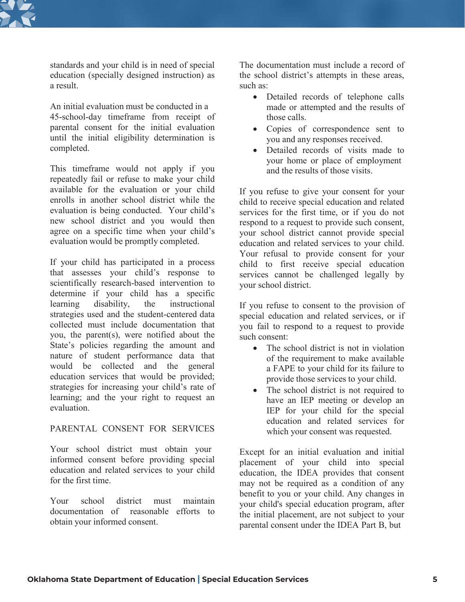

standards and your child is in need of special education (specially designed instruction) as a result.

An initial evaluation must be conducted in a 45-school-day timeframe from receipt of parental consent for the initial evaluation until the initial eligibility determination is completed.

This timeframe would not apply if you repeatedly fail or refuse to make your child available for the evaluation or your child enrolls in another school district while the evaluation is being conducted. Your child's new school district and you would then agree on a specific time when your child's evaluation would be promptly completed.

If your child has participated in a process that assesses your child's response to scientifically research-based intervention to determine if your child has a specific learning disability, the instructional strategies used and the student-centered data collected must include documentation that you, the parent(s), were notified about the State's policies regarding the amount and nature of student performance data that would be collected and the general education services that would be provided; strategies for increasing your child's rate of learning; and the your right to request an evaluation.

### PARENTAL CONSENT FOR SERVICES

Your school district must obtain your informed consent before providing special education and related services to your child for the first time.

Your school district must maintain documentation of reasonable efforts to obtain your informed consent.

The documentation must include a record of the school district's attempts in these areas, such as:

- Detailed records of telephone calls made or attempted and the results of those calls.
- Copies of correspondence sent to you and any responses received.
- Detailed records of visits made to your home or place of employment and the results of those visits.

If you refuse to give your consent for your child to receive special education and related services for the first time, or if you do not respond to a request to provide such consent, your school district cannot provide special education and related services to your child. Your refusal to provide consent for your child to first receive special education services cannot be challenged legally by your school district.

If you refuse to consent to the provision of special education and related services, or if you fail to respond to a request to provide such consent:

- The school district is not in violation of the requirement to make available a FAPE to your child for its failure to provide those services to your child.
- The school district is not required to have an IEP meeting or develop an IEP for your child for the special education and related services for which your consent was requested.

Except for an initial evaluation and initial placement of your child into special education, the IDEA provides that consent may not be required as a condition of any benefit to you or your child. Any changes in your child's special education program, after the initial placement, are not subject to your parental consent under the IDEA Part B, but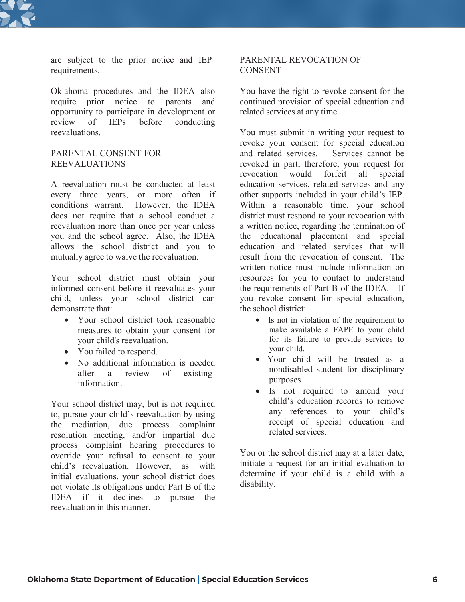

are subject to the prior notice and IEP requirements.

Oklahoma procedures and the IDEA also require prior notice to parents and opportunity to participate in development or review of IEPs before conducting reevaluations.

### PARENTAL CONSENT FOR REEVALUATIONS

A reevaluation must be conducted at least every three years, or more often if conditions warrant. However, the IDEA does not require that a school conduct a reevaluation more than once per year unless you and the school agree. Also, the IDEA allows the school district and you to mutually agree to waive the reevaluation.

Your school district must obtain your informed consent before it reevaluates your child, unless your school district can demonstrate that:

- Your school district took reasonable measures to obtain your consent for your child's reevaluation.
- You failed to respond.
- No additional information is needed after a review of existing information.

Your school district may, but is not required to, pursue your child's reevaluation by using the mediation, due process complaint resolution meeting, and/or impartial due process complaint hearing procedures to override your refusal to consent to your child's reevaluation. However, as with initial evaluations, your school district does not violate its obligations under Part B of the IDEA if it declines to pursue the reevaluation in this manner.

#### PARENTAL REVOCATION OF **CONSENT**

You have the right to revoke consent for the continued provision of special education and related services at any time.

You must submit in writing your request to revoke your consent for special education<br>and related services. Services cannot be and related services. revoked in part; therefore, your request for revocation would forfeit all special education services, related services and any other supports included in your child's IEP. Within a reasonable time, your school district must respond to your revocation with a written notice, regarding the termination of the educational placement and special education and related services that will result from the revocation of consent. The written notice must include information on resources for you to contact to understand the requirements of Part B of the IDEA. If you revoke consent for special education, the school district:

- Is not in violation of the requirement to make available a FAPE to your child for its failure to provide services to your child.
- Your child will be treated as a nondisabled student for disciplinary purposes.
- Is not required to amend your child's education records to remove any references to your child's receipt of special education and related services.

You or the school district may at a later date, initiate a request for an initial evaluation to determine if your child is a child with a disability.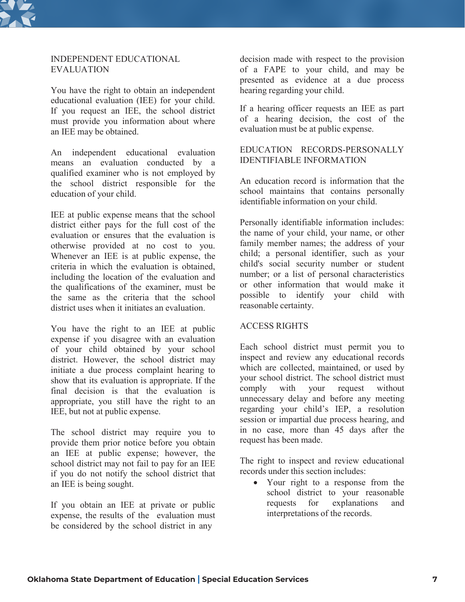

### INDEPENDENT EDUCATIONAL EVALUATION

You have the right to obtain an independent educational evaluation (IEE) for your child. If you request an IEE, the school district must provide you information about where an IEE may be obtained.

An independent educational evaluation means an evaluation conducted by a qualified examiner who is not employed by the school district responsible for the education of your child.

IEE at public expense means that the school district either pays for the full cost of the evaluation or ensures that the evaluation is otherwise provided at no cost to you. Whenever an IEE is at public expense, the criteria in which the evaluation is obtained, including the location of the evaluation and the qualifications of the examiner, must be the same as the criteria that the school district uses when it initiates an evaluation.

You have the right to an IEE at public expense if you disagree with an evaluation of your child obtained by your school district. However, the school district may initiate a due process complaint hearing to show that its evaluation is appropriate. If the final decision is that the evaluation is appropriate, you still have the right to an IEE, but not at public expense.

The school district may require you to provide them prior notice before you obtain an IEE at public expense; however, the school district may not fail to pay for an IEE if you do not notify the school district that an IEE is being sought.

If you obtain an IEE at private or public expense, the results of the evaluation must be considered by the school district in any

decision made with respect to the provision of a FAPE to your child, and may be presented as evidence at a due process hearing regarding your child.

If a hearing officer requests an IEE as part of a hearing decision, the cost of the evaluation must be at public expense.

### EDUCATION RECORDS-PERSONALLY IDENTIFIABLE INFORMATION

An education record is information that the school maintains that contains personally identifiable information on your child.

Personally identifiable information includes: the name of your child, your name, or other family member names; the address of your child; a personal identifier, such as your child's social security number or student number; or a list of personal characteristics or other information that would make it possible to identify your child with reasonable certainty.

### ACCESS RIGHTS

Each school district must permit you to inspect and review any educational records which are collected, maintained, or used by your school district. The school district must comply with your request without unnecessary delay and before any meeting regarding your child's IEP, a resolution session or impartial due process hearing, and in no case, more than 45 days after the request has been made.

The right to inspect and review educational records under this section includes:

• Your right to a response from the school district to your reasonable requests for explanations and interpretations of the records.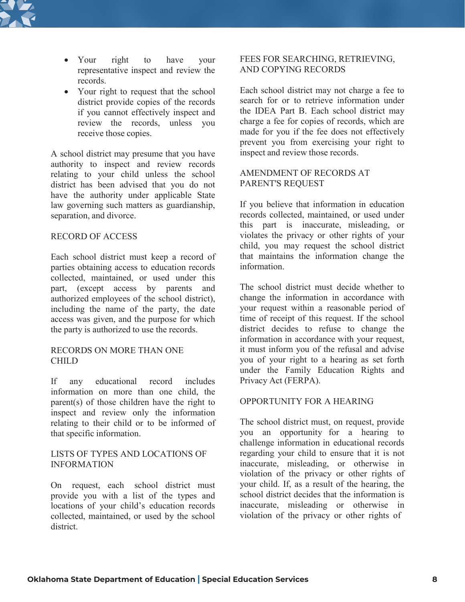

- Your right to have your representative inspect and review the records.
- Your right to request that the school district provide copies of the records if you cannot effectively inspect and review the records, unless you receive those copies.

A school district may presume that you have authority to inspect and review records relating to your child unless the school district has been advised that you do not have the authority under applicable State law governing such matters as guardianship, separation, and divorce.

#### RECORD OF ACCESS

Each school district must keep a record of parties obtaining access to education records collected, maintained, or used under this part, (except access by parents and authorized employees of the school district), including the name of the party, the date access was given, and the purpose for which the party is authorized to use the records.

#### RECORDS ON MORE THAN ONE CHILD

If any educational record includes information on more than one child, the parent(s) of those children have the right to inspect and review only the information relating to their child or to be informed of that specific information.

#### LISTS OF TYPES AND LOCATIONS OF INFORMATION

On request, each school district must provide you with a list of the types and locations of your child's education records collected, maintained, or used by the school district.

### FEES FOR SEARCHING, RETRIEVING, AND COPYING RECORDS

Each school district may not charge a fee to search for or to retrieve information under the IDEA Part B. Each school district may charge a fee for copies of records, which are made for you if the fee does not effectively prevent you from exercising your right to inspect and review those records.

### AMENDMENT OF RECORDS AT PARENT'S REQUEST

If you believe that information in education records collected, maintained, or used under this part is inaccurate, misleading, or violates the privacy or other rights of your child, you may request the school district that maintains the information change the information.

The school district must decide whether to change the information in accordance with your request within a reasonable period of time of receipt of this request. If the school district decides to refuse to change the information in accordance with your request, it must inform you of the refusal and advise you of your right to a hearing as set forth under the Family Education Rights and Privacy Act (FERPA).

#### OPPORTUNITY FOR A HEARING

The school district must, on request, provide you an opportunity for a hearing to challenge information in educational records regarding your child to ensure that it is not inaccurate, misleading, or otherwise in violation of the privacy or other rights of your child. If, as a result of the hearing, the school district decides that the information is inaccurate, misleading or otherwise in violation of the privacy or other rights of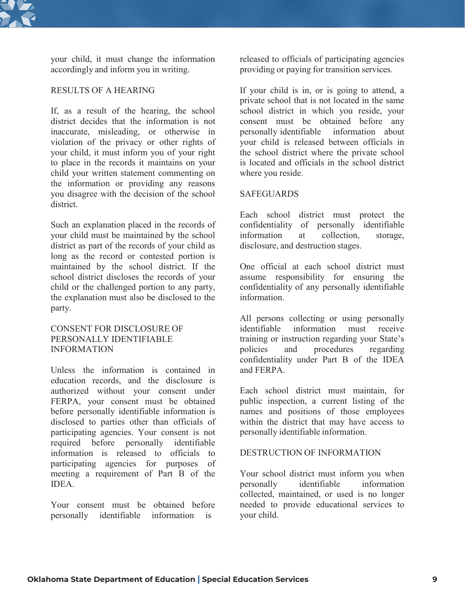

your child, it must change the information accordingly and inform you in writing.

#### RESULTS OF A HEARING

If, as a result of the hearing, the school district decides that the information is not inaccurate, misleading, or otherwise in violation of the privacy or other rights of your child, it must inform you of your right to place in the records it maintains on your child your written statement commenting on the information or providing any reasons you disagree with the decision of the school district.

Such an explanation placed in the records of your child must be maintained by the school district as part of the records of your child as long as the record or contested portion is maintained by the school district. If the school district discloses the records of your child or the challenged portion to any party, the explanation must also be disclosed to the party.

### CONSENT FOR DISCLOSURE OF PERSONALLY IDENTIFIABLE INFORMATION

Unless the information is contained in education records, and the disclosure is authorized without your consent under FERPA, your consent must be obtained before personally identifiable information is disclosed to parties other than officials of participating agencies. Your consent is not required before personally identifiable information is released to officials to participating agencies for purposes of meeting a requirement of Part B of the **IDEA** 

Your consent must be obtained before personally identifiable information is

released to officials of participating agencies providing or paying for transition services.

If your child is in, or is going to attend, a private school that is not located in the same school district in which you reside, your consent must be obtained before any personally identifiable information about your child is released between officials in the school district where the private school is located and officials in the school district where you reside.

#### **SAFEGUARDS**

Each school district must protect the confidentiality of personally identifiable information at collection, storage, disclosure, and destruction stages.

One official at each school district must assume responsibility for ensuring the confidentiality of any personally identifiable information.

All persons collecting or using personally identifiable information must receive training or instruction regarding your State's policies and procedures regarding confidentiality under Part B of the IDEA and FERPA.

Each school district must maintain, for public inspection, a current listing of the names and positions of those employees within the district that may have access to personally identifiable information.

#### DESTRUCTION OF INFORMATION

Your school district must inform you when personally identifiable information collected, maintained, or used is no longer needed to provide educational services to your child.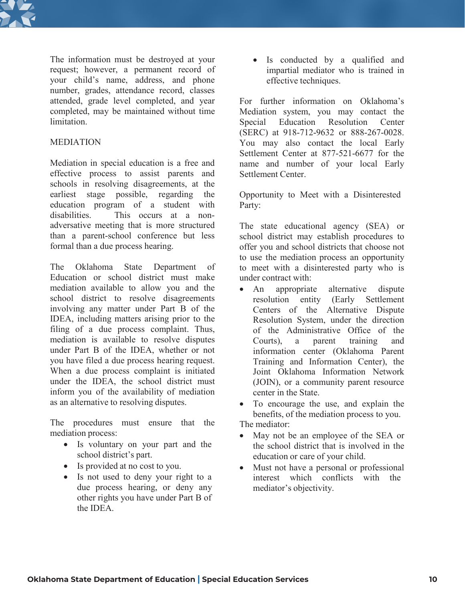

The information must be destroyed at your request; however, a permanent record of your child's name, address, and phone number, grades, attendance record, classes attended, grade level completed, and year completed, may be maintained without time **limitation** 

### MEDIATION

Mediation in special education is a free and effective process to assist parents and schools in resolving disagreements, at the earliest stage possible, regarding the education program of a student with disabilities. This occurs at a nonadversative meeting that is more structured than a parent-school conference but less formal than a due process hearing.

The Oklahoma State Department of Education or school district must make mediation available to allow you and the school district to resolve disagreements involving any matter under Part B of the IDEA, including matters arising prior to the filing of a due process complaint. Thus, mediation is available to resolve disputes under Part B of the IDEA, whether or not you have filed a due process hearing request. When a due process complaint is initiated under the IDEA, the school district must inform you of the availability of mediation as an alternative to resolving disputes.

The procedures must ensure that the mediation process:

- Is voluntary on your part and the school district's part.
- Is provided at no cost to you.
- Is not used to deny your right to a due process hearing, or deny any other rights you have under Part B of the IDEA.

• Is conducted by a qualified and impartial mediator who is trained in effective techniques.

For further information on Oklahoma's Mediation system, you may contact the Special Education Resolution Center (SERC) at 918-712-9632 or 888-267-0028. You may also contact the local Early Settlement Center at 877-521-6677 for the name and number of your local Early Settlement Center.

Opportunity to Meet with a Disinterested Party:

The state educational agency (SEA) or school district may establish procedures to offer you and school districts that choose not to use the mediation process an opportunity to meet with a disinterested party who is under contract with:

• An appropriate alternative dispute resolution entity (Early Settlement Centers of the Alternative Dispute Resolution System, under the direction of the Administrative Office of the Courts), a parent training and information center (Oklahoma Parent Training and Information Center), the Joint Oklahoma Information Network (JOIN), or a community parent resource center in the State.

• To encourage the use, and explain the benefits, of the mediation process to you. The mediator:

- May not be an employee of the SEA or the school district that is involved in the education or care of your child.
- Must not have a personal or professional interest which conflicts with the mediator's objectivity.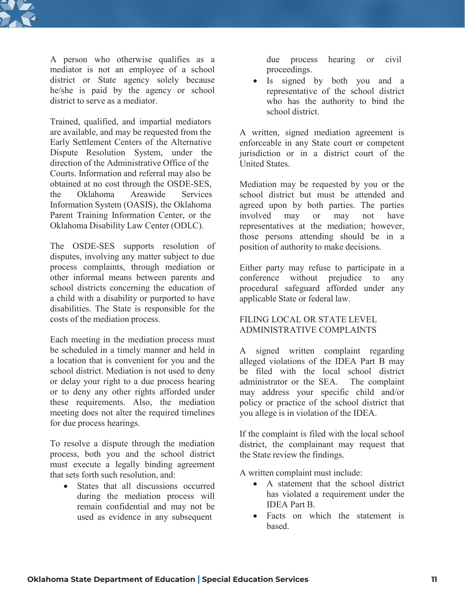

A person who otherwise qualifies as a mediator is not an employee of a school district or State agency solely because he/she is paid by the agency or school district to serve as a mediator.

Trained, qualified, and impartial mediators are available, and may be requested from the Early Settlement Centers of the Alternative Dispute Resolution System, under the direction of the Administrative Office of the Courts. Information and referral may also be obtained at no cost through the OSDE-SES, the Oklahoma Areawide Services Information System (OASIS), the Oklahoma Parent Training Information Center, or the Oklahoma Disability Law Center (ODLC).

The OSDE-SES supports resolution of disputes, involving any matter subject to due process complaints, through mediation or other informal means between parents and school districts concerning the education of a child with a disability or purported to have disabilities. The State is responsible for the costs of the mediation process.

Each meeting in the mediation process must be scheduled in a timely manner and held in a location that is convenient for you and the school district. Mediation is not used to deny or delay your right to a due process hearing or to deny any other rights afforded under these requirements. Also, the mediation meeting does not alter the required timelines for due process hearings.

To resolve a dispute through the mediation process, both you and the school district must execute a legally binding agreement that sets forth such resolution, and:

• States that all discussions occurred during the mediation process will remain confidential and may not be used as evidence in any subsequent

due process hearing or civil proceedings.

• Is signed by both you and a representative of the school district who has the authority to bind the school district.

A written, signed mediation agreement is enforceable in any State court or competent jurisdiction or in a district court of the United States.

Mediation may be requested by you or the school district but must be attended and agreed upon by both parties. The parties involved may or may not have representatives at the mediation; however, those persons attending should be in a position of authority to make decisions.

Either party may refuse to participate in a conference without prejudice to any procedural safeguard afforded under any applicable State or federal law.

### FILING LOCAL OR STATE LEVEL ADMINISTRATIVE COMPLAINTS

A signed written complaint regarding alleged violations of the IDEA Part B may be filed with the local school district administrator or the SEA. The complaint may address your specific child and/or policy or practice of the school district that you allege is in violation of the IDEA.

If the complaint is filed with the local school district, the complainant may request that the State review the findings.

A written complaint must include:

- A statement that the school district has violated a requirement under the IDEA Part B.
- Facts on which the statement is based.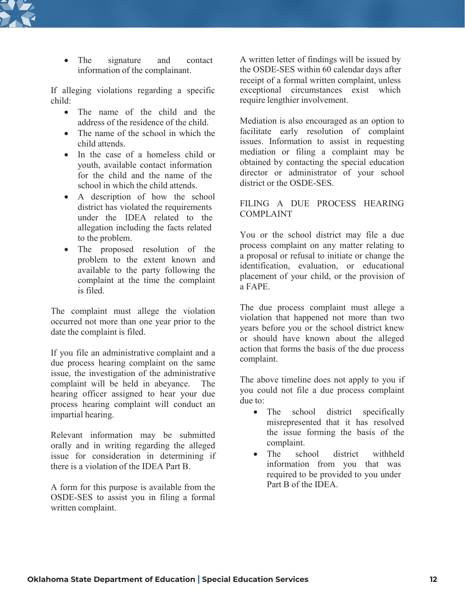

• The signature and contact information of the complainant.

If alleging violations regarding a specific child:

- The name of the child and the address of the residence of the child.
- The name of the school in which the child attends.
- In the case of a homeless child or youth, available contact information for the child and the name of the school in which the child attends.
- A description of how the school district has violated the requirements under the IDEA related to the allegation including the facts related to the problem.
- The proposed resolution of the problem to the extent known and available to the party following the complaint at the time the complaint is filed.

The complaint must allege the violation occurred not more than one year prior to the date the complaint is filed.

If you file an administrative complaint and a due process hearing complaint on the same issue, the investigation of the administrative complaint will be held in abeyance. The hearing officer assigned to hear your due process hearing complaint will conduct an impartial hearing.

Relevant information may be submitted orally and in writing regarding the alleged issue for consideration in determining if there is a violation of the IDEA Part B.

A form for this purpose is available from the OSDE-SES to assist you in filing a formal written complaint.

A written letter of findings will be issued by the OSDE-SES within 60 calendar days after receipt of a formal written complaint, unless exceptional circumstances exist which require lengthier involvement.

Mediation is also encouraged as an option to facilitate early resolution of complaint issues. Information to assist in requesting mediation or filing a complaint may be obtained by contacting the special education director or administrator of your school district or the OSDE-SES.

## FILING A DUE PROCESS HEARING COMPLAINT

You or the school district may file a due process complaint on any matter relating to a proposal or refusal to initiate or change the identification, evaluation, or educational placement of your child, or the provision of a FAPE.

The due process complaint must allege a violation that happened not more than two years before you or the school district knew or should have known about the alleged action that forms the basis of the due process complaint.

The above timeline does not apply to you if you could not file a due process complaint due to:

- The school district specifically misrepresented that it has resolved the issue forming the basis of the complaint.
- The school district withheld information from you that was required to be provided to you under Part B of the IDEA.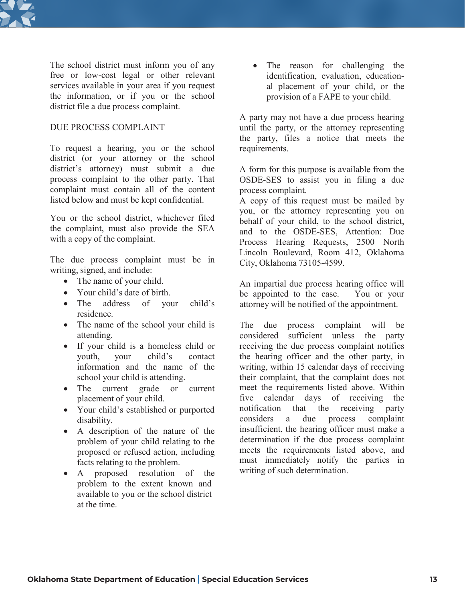

The school district must inform you of any free or low-cost legal or other relevant services available in your area if you request the information, or if you or the school district file a due process complaint.

#### DUE PROCESS COMPLAINT

To request a hearing, you or the school district (or your attorney or the school district's attorney) must submit a due process complaint to the other party. That complaint must contain all of the content listed below and must be kept confidential.

You or the school district, whichever filed the complaint, must also provide the SEA with a copy of the complaint.

The due process complaint must be in writing, signed, and include:

- The name of your child.
- Your child's date of birth.
- The address of your child's residence.
- The name of the school your child is attending.
- If your child is a homeless child or youth, your child's contact information and the name of the school your child is attending.
- The current grade or current placement of your child.
- Your child's established or purported disability.
- A description of the nature of the problem of your child relating to the proposed or refused action, including facts relating to the problem.
- A proposed resolution of the problem to the extent known and available to you or the school district at the time.

• The reason for challenging the identification, evaluation, educational placement of your child, or the provision of a FAPE to your child.

A party may not have a due process hearing until the party, or the attorney representing the party, files a notice that meets the requirements.

A form for this purpose is available from the OSDE-SES to assist you in filing a due process complaint.

A copy of this request must be mailed by you, or the attorney representing you on behalf of your child, to the school district, and to the OSDE-SES, Attention: Due Process Hearing Requests, 2500 North Lincoln Boulevard, Room 412, Oklahoma City, Oklahoma 73105-4599.

An impartial due process hearing office will be appointed to the case. You or your attorney will be notified of the appointment.

The due process complaint will be considered sufficient unless the party receiving the due process complaint notifies the hearing officer and the other party, in writing, within 15 calendar days of receiving their complaint, that the complaint does not meet the requirements listed above. Within five calendar days of receiving the notification that the receiving party considers a due process complaint insufficient, the hearing officer must make a determination if the due process complaint meets the requirements listed above, and must immediately notify the parties in writing of such determination.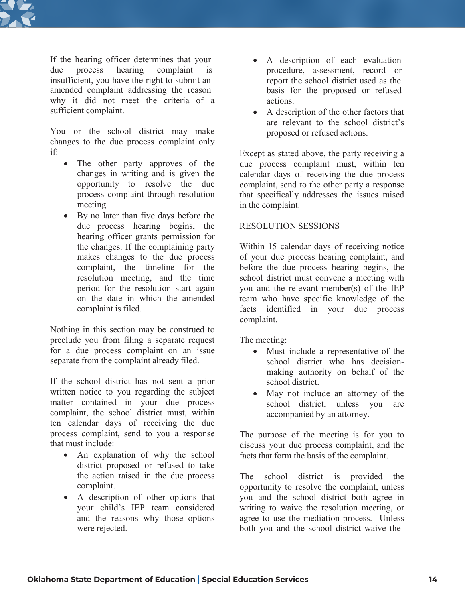

If the hearing officer determines that your • A description of each evaluation due process hearing complaint is insufficient, you have the right to submit an amended complaint addressing the reason why it did not meet the criteria of a sufficient complaint.

You or the school district may make changes to the due process complaint only if:

- The other party approves of the changes in writing and is given the opportunity to resolve the due process complaint through resolution meeting.
- By no later than five days before the due process hearing begins, the hearing officer grants permission for the changes. If the complaining party makes changes to the due process complaint, the timeline for the resolution meeting, and the time period for the resolution start again on the date in which the amended complaint is filed.

Nothing in this section may be construed to preclude you from filing a separate request for a due process complaint on an issue separate from the complaint already filed.

If the school district has not sent a prior written notice to you regarding the subject matter contained in your due process complaint, the school district must, within ten calendar days of receiving the due process complaint, send to you a response that must include:

- An explanation of why the school district proposed or refused to take the action raised in the due process complaint.
- A description of other options that your child's IEP team considered and the reasons why those options were rejected.
- procedure, assessment, record or report the school district used as the basis for the proposed or refused actions.
- A description of the other factors that are relevant to the school district's proposed or refused actions.

Except as stated above, the party receiving a due process complaint must, within ten calendar days of receiving the due process complaint, send to the other party a response that specifically addresses the issues raised in the complaint.

### RESOLUTION SESSIONS

Within 15 calendar days of receiving notice of your due process hearing complaint, and before the due process hearing begins, the school district must convene a meeting with you and the relevant member(s) of the IEP team who have specific knowledge of the facts identified in your due process complaint.

The meeting:

- Must include a representative of the school district who has decisionmaking authority on behalf of the school district.
- May not include an attorney of the school district, unless you are accompanied by an attorney.

The purpose of the meeting is for you to discuss your due process complaint, and the facts that form the basis of the complaint.

The school district is provided the opportunity to resolve the complaint, unless you and the school district both agree in writing to waive the resolution meeting, or agree to use the mediation process. Unless both you and the school district waive the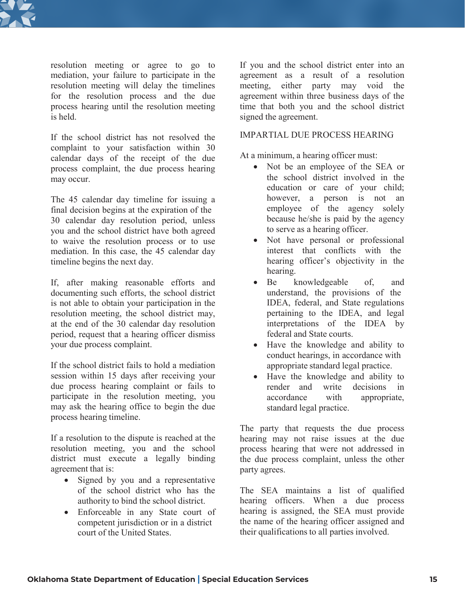

resolution meeting or agree to go to mediation, your failure to participate in the resolution meeting will delay the timelines for the resolution process and the due process hearing until the resolution meeting is held.

If the school district has not resolved the complaint to your satisfaction within 30 calendar days of the receipt of the due process complaint, the due process hearing may occur.

The 45 calendar day timeline for issuing a final decision begins at the expiration of the 30 calendar day resolution period, unless you and the school district have both agreed to waive the resolution process or to use mediation. In this case, the 45 calendar day timeline begins the next day.

If, after making reasonable efforts and documenting such efforts, the school district is not able to obtain your participation in the resolution meeting, the school district may, at the end of the 30 calendar day resolution period, request that a hearing officer dismiss your due process complaint.

If the school district fails to hold a mediation session within 15 days after receiving your due process hearing complaint or fails to participate in the resolution meeting, you may ask the hearing office to begin the due process hearing timeline.

If a resolution to the dispute is reached at the resolution meeting, you and the school district must execute a legally binding agreement that is:

- Signed by you and a representative of the school district who has the authority to bind the school district.
- Enforceable in any State court of competent jurisdiction or in a district court of the United States.

If you and the school district enter into an agreement as a result of a resolution meeting, either party may void the agreement within three business days of the time that both you and the school district signed the agreement.

#### IMPARTIAL DUE PROCESS HEARING

At a minimum, a hearing officer must:

- Not be an employee of the SEA or the school district involved in the education or care of your child; however, a person is not an employee of the agency solely because he/she is paid by the agency to serve as a hearing officer.
- Not have personal or professional interest that conflicts with the hearing officer's objectivity in the hearing.
- Be knowledgeable of, and understand, the provisions of the IDEA, federal, and State regulations pertaining to the IDEA, and legal interpretations of the IDEA by federal and State courts.
- Have the knowledge and ability to conduct hearings, in accordance with appropriate standard legal practice.
- Have the knowledge and ability to render and write decisions in accordance with appropriate, standard legal practice.

The party that requests the due process hearing may not raise issues at the due process hearing that were not addressed in the due process complaint, unless the other party agrees.

The SEA maintains a list of qualified hearing officers. When a due process hearing is assigned, the SEA must provide the name of the hearing officer assigned and their qualifications to all parties involved.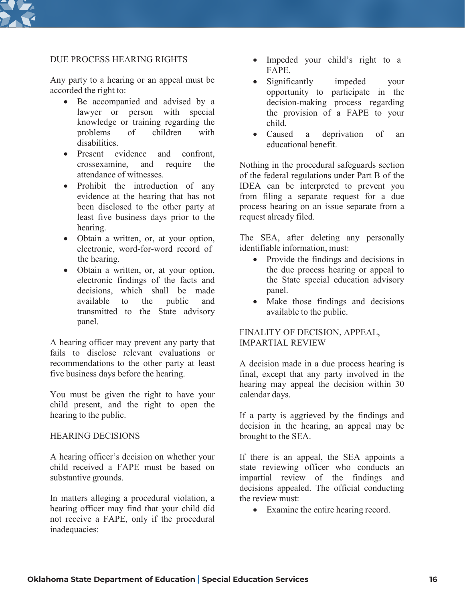

#### DUE PROCESS HEARING RIGHTS

Any party to a hearing or an appeal must be accorded the right to:

- Be accompanied and advised by a lawyer or person with special knowledge or training regarding the problems of children with disabilities.
- Present evidence and confront, crossexamine, and require the attendance of witnesses.
- Prohibit the introduction of any evidence at the hearing that has not been disclosed to the other party at least five business days prior to the hearing.
- Obtain a written, or, at your option, electronic, word-for-word record of the hearing.
- Obtain a written, or, at your option, electronic findings of the facts and decisions, which shall be made available to the public and transmitted to the State advisory panel.

A hearing officer may prevent any party that fails to disclose relevant evaluations or recommendations to the other party at least five business days before the hearing.

You must be given the right to have your child present, and the right to open the hearing to the public.

#### HEARING DECISIONS

A hearing officer's decision on whether your child received a FAPE must be based on substantive grounds.

In matters alleging a procedural violation, a hearing officer may find that your child did not receive a FAPE, only if the procedural inadequacies:

- Impeded your child's right to a FAPE.
- Significantly impeded your opportunity to participate in the decision-making process regarding the provision of a FAPE to your child.
- Caused a deprivation of an educational benefit.

Nothing in the procedural safeguards section of the federal regulations under Part B of the IDEA can be interpreted to prevent you from filing a separate request for a due process hearing on an issue separate from a request already filed.

The SEA, after deleting any personally identifiable information, must:

- Provide the findings and decisions in the due process hearing or appeal to the State special education advisory panel.
- Make those findings and decisions available to the public.

#### FINALITY OF DECISION, APPEAL, IMPARTIAL REVIEW

A decision made in a due process hearing is final, except that any party involved in the hearing may appeal the decision within 30 calendar days.

If a party is aggrieved by the findings and decision in the hearing, an appeal may be brought to the SEA.

If there is an appeal, the SEA appoints a state reviewing officer who conducts an impartial review of the findings and decisions appealed. The official conducting the review must:

• Examine the entire hearing record.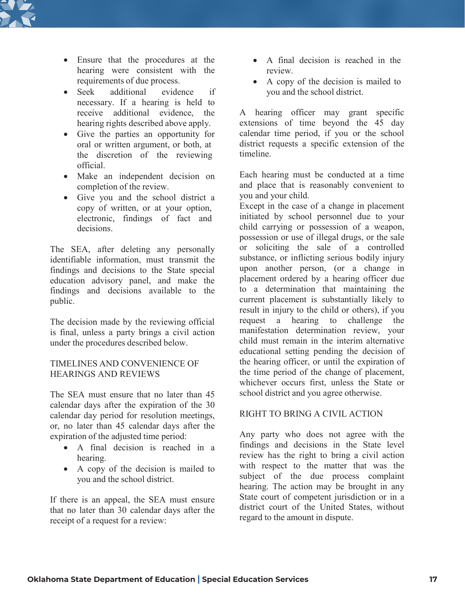

- Ensure that the procedures at the hearing were consistent with the requirements of due process.
- Seek additional evidence if necessary. If a hearing is held to receive additional evidence, the hearing rights described above apply.
- Give the parties an opportunity for oral or written argument, or both, at the discretion of the reviewing official.
- Make an independent decision on completion of the review.
- Give you and the school district a copy of written, or at your option, electronic, findings of fact and decisions.

The SEA, after deleting any personally identifiable information, must transmit the findings and decisions to the State special education advisory panel, and make the findings and decisions available to the public.

The decision made by the reviewing official is final, unless a party brings a civil action under the procedures described below.

### TIMELINES AND CONVENIENCE OF HEARINGS AND REVIEWS

The SEA must ensure that no later than 45 calendar days after the expiration of the 30 calendar day period for resolution meetings, or, no later than 45 calendar days after the expiration of the adjusted time period:

- A final decision is reached in a hearing.
- A copy of the decision is mailed to you and the school district.

If there is an appeal, the SEA must ensure that no later than 30 calendar days after the receipt of a request for a review:

- A final decision is reached in the review.
- A copy of the decision is mailed to you and the school district.

A hearing officer may grant specific extensions of time beyond the 45 day calendar time period, if you or the school district requests a specific extension of the timeline.

Each hearing must be conducted at a time and place that is reasonably convenient to you and your child.

Except in the case of a change in placement initiated by school personnel due to your child carrying or possession of a weapon, possession or use of illegal drugs, or the sale or soliciting the sale of a controlled substance, or inflicting serious bodily injury upon another person, (or a change in placement ordered by a hearing officer due to a determination that maintaining the current placement is substantially likely to result in injury to the child or others), if you request a hearing to challenge the manifestation determination review, your child must remain in the interim alternative educational setting pending the decision of the hearing officer, or until the expiration of the time period of the change of placement, whichever occurs first, unless the State or school district and you agree otherwise.

## RIGHT TO BRING A CIVIL ACTION

Any party who does not agree with the findings and decisions in the State level review has the right to bring a civil action with respect to the matter that was the subject of the due process complaint hearing. The action may be brought in any State court of competent jurisdiction or in a district court of the United States, without regard to the amount in dispute.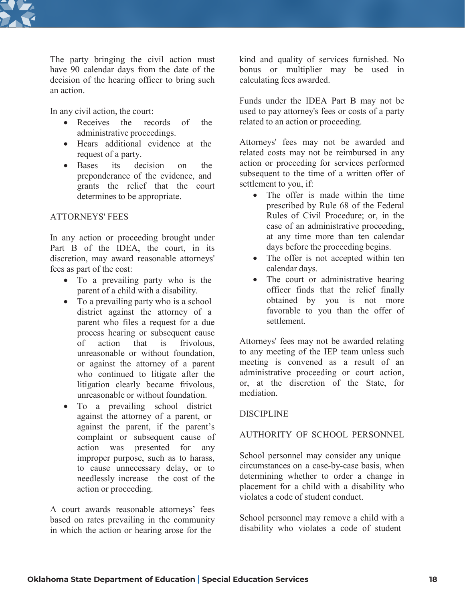

The party bringing the civil action must have 90 calendar days from the date of the decision of the hearing officer to bring such an action.

In any civil action, the court:

- Receives the records of the administrative proceedings.
- Hears additional evidence at the request of a party.
- Bases its decision on the preponderance of the evidence, and grants the relief that the court determines to be appropriate.

# ATTORNEYS' FEES

In any action or proceeding brought under Part B of the IDEA, the court, in its discretion, may award reasonable attorneys' fees as part of the cost:

- To a prevailing party who is the parent of a child with a disability.
- To a prevailing party who is a school district against the attorney of a parent who files a request for a due process hearing or subsequent cause of action that is frivolous, unreasonable or without foundation, or against the attorney of a parent who continued to litigate after the litigation clearly became frivolous, unreasonable or without foundation.
- To a prevailing school district against the attorney of a parent, or against the parent, if the parent's complaint or subsequent cause of action was presented for any improper purpose, such as to harass, to cause unnecessary delay, or to needlessly increase the cost of the action or proceeding.

A court awards reasonable attorneys' fees based on rates prevailing in the community in which the action or hearing arose for the

kind and quality of services furnished. No bonus or multiplier may be used in calculating fees awarded.

Funds under the IDEA Part B may not be used to pay attorney's fees or costs of a party related to an action or proceeding.

Attorneys' fees may not be awarded and related costs may not be reimbursed in any action or proceeding for services performed subsequent to the time of a written offer of settlement to you, if:

- The offer is made within the time prescribed by Rule 68 of the Federal Rules of Civil Procedure; or, in the case of an administrative proceeding, at any time more than ten calendar days before the proceeding begins.
- The offer is not accepted within ten calendar days.
- The court or administrative hearing officer finds that the relief finally obtained by you is not more favorable to you than the offer of settlement.

Attorneys' fees may not be awarded relating to any meeting of the IEP team unless such meeting is convened as a result of an administrative proceeding or court action, or, at the discretion of the State, for mediation.

## DISCIPLINE

## AUTHORITY OF SCHOOL PERSONNEL

School personnel may consider any unique circumstances on a case-by-case basis, when determining whether to order a change in placement for a child with a disability who violates a code of student conduct.

School personnel may remove a child with a disability who violates a code of student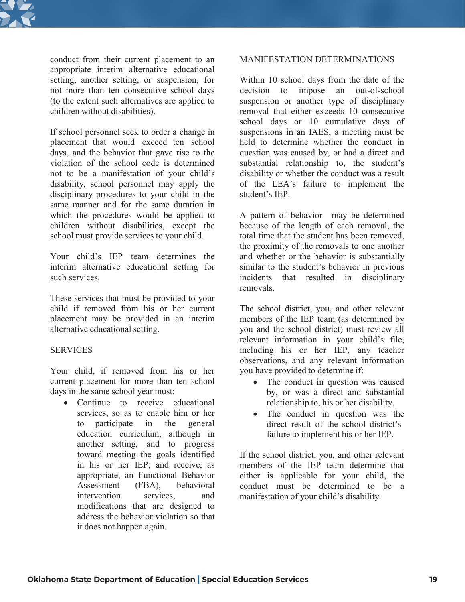

conduct from their current placement to an appropriate interim alternative educational setting, another setting, or suspension, for not more than ten consecutive school days (to the extent such alternatives are applied to children without disabilities).

If school personnel seek to order a change in placement that would exceed ten school days, and the behavior that gave rise to the violation of the school code is determined not to be a manifestation of your child's disability, school personnel may apply the disciplinary procedures to your child in the same manner and for the same duration in which the procedures would be applied to children without disabilities, except the school must provide services to your child.

Your child's IEP team determines the interim alternative educational setting for such services.

These services that must be provided to your child if removed from his or her current placement may be provided in an interim alternative educational setting.

#### **SERVICES**

Your child, if removed from his or her current placement for more than ten school days in the same school year must:

• Continue to receive educational services, so as to enable him or her to participate in the general education curriculum, although in another setting, and to progress toward meeting the goals identified in his or her IEP; and receive, as appropriate, an Functional Behavior Assessment (FBA), behavioral intervention services and modifications that are designed to address the behavior violation so that it does not happen again.

#### MANIFESTATION DETERMINATIONS

Within 10 school days from the date of the decision to impose an out-of-school suspension or another type of disciplinary removal that either exceeds 10 consecutive school days or 10 cumulative days of suspensions in an IAES, a meeting must be held to determine whether the conduct in question was caused by, or had a direct and substantial relationship to, the student's disability or whether the conduct was a result of the LEA's failure to implement the student's IEP.

A pattern of behavior may be determined because of the length of each removal, the total time that the student has been removed, the proximity of the removals to one another and whether or the behavior is substantially similar to the student's behavior in previous incidents that resulted in disciplinary removals.

The school district, you, and other relevant members of the IEP team (as determined by you and the school district) must review all relevant information in your child's file, including his or her IEP, any teacher observations, and any relevant information you have provided to determine if:

- The conduct in question was caused by, or was a direct and substantial relationship to, his or her disability.
- The conduct in question was the direct result of the school district's failure to implement his or her IEP.

If the school district, you, and other relevant members of the IEP team determine that either is applicable for your child, the conduct must be determined to be a manifestation of your child's disability.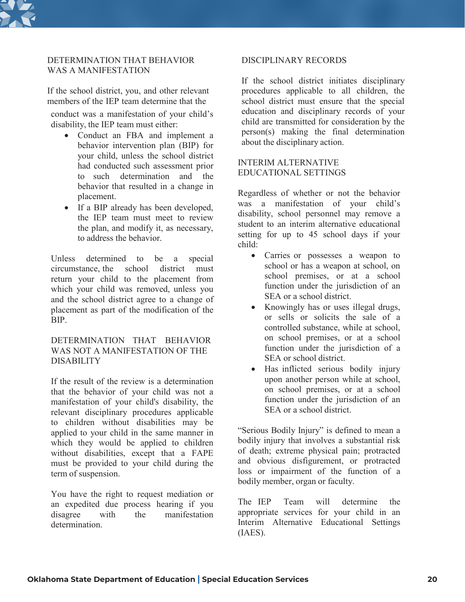

## DETERMINATION THAT BEHAVIOR WAS A MANIFESTATION

If the school district, you, and other relevant members of the IEP team determine that the

conduct was a manifestation of your child's disability, the IEP team must either:

- Conduct an FBA and implement a behavior intervention plan (BIP) for your child, unless the school district had conducted such assessment prior to such determination and the behavior that resulted in a change in placement.
- If a BIP already has been developed, the IEP team must meet to review the plan, and modify it, as necessary, to address the behavior.

Unless determined to be a special circumstance, the school district must return your child to the placement from which your child was removed, unless you and the school district agree to a change of placement as part of the modification of the BIP.

#### DETERMINATION THAT BEHAVIOR WAS NOT A MANIFESTATION OF THE **DISABILITY**

If the result of the review is a determination that the behavior of your child was not a manifestation of your child's disability, the relevant disciplinary procedures applicable to children without disabilities may be applied to your child in the same manner in which they would be applied to children without disabilities, except that a FAPE must be provided to your child during the term of suspension.

You have the right to request mediation or an expedited due process hearing if you disagree with the manifestation determination.

#### DISCIPLINARY RECORDS

If the school district initiates disciplinary procedures applicable to all children, the school district must ensure that the special education and disciplinary records of your child are transmitted for consideration by the person(s) making the final determination about the disciplinary action.

#### INTERIM ALTERNATIVE EDUCATIONAL SETTINGS

Regardless of whether or not the behavior was a manifestation of your child's disability, school personnel may remove a student to an interim alternative educational setting for up to 45 school days if your child:

- Carries or possesses a weapon to school or has a weapon at school, on school premises, or at a school function under the jurisdiction of an SEA or a school district.
- Knowingly has or uses illegal drugs, or sells or solicits the sale of a controlled substance, while at school, on school premises, or at a school function under the jurisdiction of a SEA or school district.
- Has inflicted serious bodily injury upon another person while at school, on school premises, or at a school function under the jurisdiction of an SEA or a school district.

"Serious Bodily Injury" is defined to mean a bodily injury that involves a substantial risk of death; extreme physical pain; protracted and obvious disfigurement, or protracted loss or impairment of the function of a bodily member, organ or faculty.

The IEP Team will determine the appropriate services for your child in an Interim Alternative Educational Settings (IAES).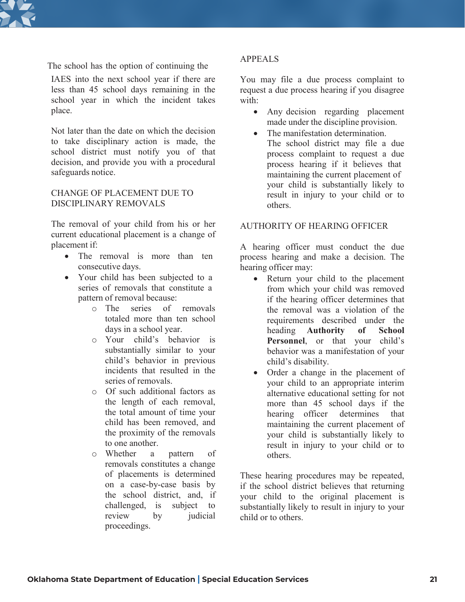

The school has the option of continuing the

IAES into the next school year if there are less than 45 school days remaining in the school year in which the incident takes place.

Not later than the date on which the decision to take disciplinary action is made, the school district must notify you of that decision, and provide you with a procedural safeguards notice.

### CHANGE OF PLACEMENT DUE TO DISCIPLINARY REMOVALS

The removal of your child from his or her current educational placement is a change of placement if:

- The removal is more than ten consecutive days.
- Your child has been subjected to a series of removals that constitute a pattern of removal because:
	- o The series of removals totaled more than ten school days in a school year.
	- o Your child's behavior is substantially similar to your child's behavior in previous incidents that resulted in the series of removals.
	- o Of such additional factors as the length of each removal, the total amount of time your child has been removed, and the proximity of the removals to one another.
	- o Whether a pattern of removals constitutes a change of placements is determined on a case-by-case basis by the school district, and, if challenged, is subject to review by judicial proceedings.

## APPEALS

You may file a due process complaint to request a due process hearing if you disagree with:

- Any decision regarding placement made under the discipline provision.
- The manifestation determination. The school district may file a due process complaint to request a due process hearing if it believes that maintaining the current placement of your child is substantially likely to result in injury to your child or to others.

### AUTHORITY OF HEARING OFFICER

A hearing officer must conduct the due process hearing and make a decision. The hearing officer may:

- Return your child to the placement from which your child was removed if the hearing officer determines that the removal was a violation of the requirements described under the heading **Authority of School Personnel**, or that your child's behavior was a manifestation of your child's disability.
- Order a change in the placement of your child to an appropriate interim alternative educational setting for not more than 45 school days if the hearing officer determines that maintaining the current placement of your child is substantially likely to result in injury to your child or to others.

These hearing procedures may be repeated, if the school district believes that returning your child to the original placement is substantially likely to result in injury to your child or to others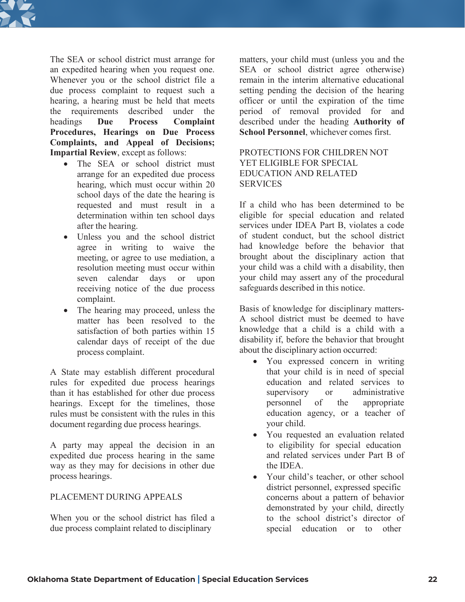

The SEA or school district must arrange for an expedited hearing when you request one. Whenever you or the school district file a due process complaint to request such a hearing, a hearing must be held that meets the requirements described under the headings **Due Process Complaint Procedures, Hearings on Due Process Complaints, and Appeal of Decisions; Impartial Review**, except as follows:

- The SEA or school district must arrange for an expedited due process hearing, which must occur within 20 school days of the date the hearing is requested and must result in a determination within ten school days after the hearing.
- Unless you and the school district agree in writing to waive the meeting, or agree to use mediation, a resolution meeting must occur within seven calendar days or upon receiving notice of the due process complaint.
- The hearing may proceed, unless the matter has been resolved to the satisfaction of both parties within 15 calendar days of receipt of the due process complaint.

A State may establish different procedural rules for expedited due process hearings than it has established for other due process hearings. Except for the timelines, those rules must be consistent with the rules in this document regarding due process hearings.

A party may appeal the decision in an expedited due process hearing in the same way as they may for decisions in other due process hearings.

## PLACEMENT DURING APPEALS

When you or the school district has filed a due process complaint related to disciplinary

matters, your child must (unless you and the SEA or school district agree otherwise) remain in the interim alternative educational setting pending the decision of the hearing officer or until the expiration of the time period of removal provided for and described under the heading **Authority of School Personnel**, whichever comes first.

### PROTECTIONS FOR CHILDREN NOT YET ELIGIBLE FOR SPECIAL EDUCATION AND RELATED **SERVICES**

If a child who has been determined to be eligible for special education and related services under IDEA Part B, violates a code of student conduct, but the school district had knowledge before the behavior that brought about the disciplinary action that your child was a child with a disability, then your child may assert any of the procedural safeguards described in this notice.

Basis of knowledge for disciplinary matters-A school district must be deemed to have knowledge that a child is a child with a disability if, before the behavior that brought about the disciplinary action occurred:

- You expressed concern in writing that your child is in need of special education and related services to supervisory or administrative personnel of the appropriate education agency, or a teacher of your child.
- You requested an evaluation related to eligibility for special education and related services under Part B of the IDEA.
- Your child's teacher, or other school district personnel, expressed specific concerns about a pattern of behavior demonstrated by your child, directly to the school district's director of special education or to other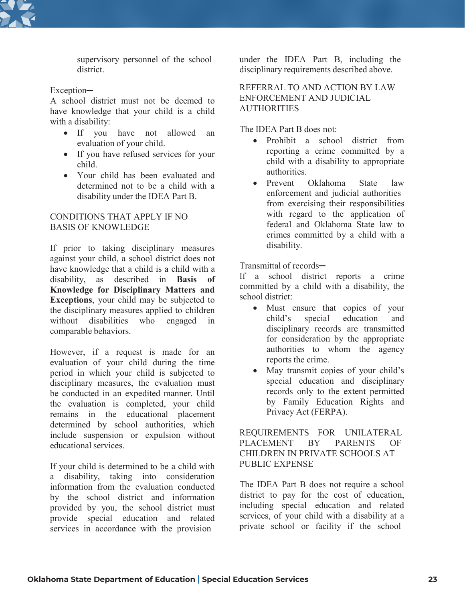

supervisory personnel of the school district.

Exception-

A school district must not be deemed to have knowledge that your child is a child with a disability:

- If you have not allowed an evaluation of your child.
- If you have refused services for your child.
- Your child has been evaluated and determined not to be a child with a disability under the IDEA Part B.

## CONDITIONS THAT APPLY IF NO BASIS OF KNOWLEDGE

If prior to taking disciplinary measures against your child, a school district does not have knowledge that a child is a child with a disability, as described in **Basis of Knowledge for Disciplinary Matters and Exceptions**, your child may be subjected to the disciplinary measures applied to children without disabilities who engaged in comparable behaviors.

However, if a request is made for an evaluation of your child during the time period in which your child is subjected to disciplinary measures, the evaluation must be conducted in an expedited manner. Until the evaluation is completed, your child remains in the educational placement determined by school authorities, which include suspension or expulsion without educational services.

If your child is determined to be a child with a disability, taking into consideration information from the evaluation conducted by the school district and information provided by you, the school district must provide special education and related services in accordance with the provision

under the IDEA Part B, including the disciplinary requirements described above.

REFERRAL TO AND ACTION BY LAW ENFORCEMENT AND JUDICIAL **AUTHORITIES** 

The IDEA Part B does not:

- Prohibit a school district from reporting a crime committed by a child with a disability to appropriate authorities.
- Prevent Oklahoma State law enforcement and judicial authorities from exercising their responsibilities with regard to the application of federal and Oklahoma State law to crimes committed by a child with a disability.

Transmittal of records-

If a school district reports a crime committed by a child with a disability, the school district:

- Must ensure that copies of your child's special education and disciplinary records are transmitted for consideration by the appropriate authorities to whom the agency reports the crime.
- May transmit copies of your child's special education and disciplinary records only to the extent permitted by Family Education Rights and Privacy Act (FERPA).

REQUIREMENTS FOR UNILATERAL PLACEMENT BY PARENTS OF CHILDREN IN PRIVATE SCHOOLS AT PUBLIC EXPENSE

The IDEA Part B does not require a school district to pay for the cost of education, including special education and related services, of your child with a disability at a private school or facility if the school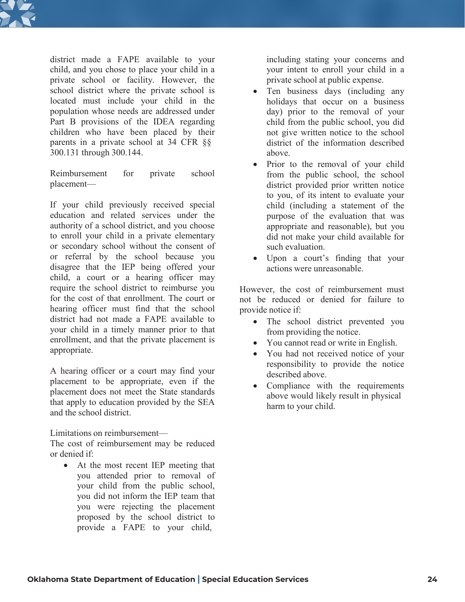

district made a FAPE available to your child, and you chose to place your child in a private school or facility. However, the school district where the private school is located must include your child in the population whose needs are addressed under Part B provisions of the IDEA regarding children who have been placed by their parents in a private school at 34 CFR §§ 300.131 through 300.144.

Reimbursement for private school placement—

If your child previously received special education and related services under the authority of a school district, and you choose to enroll your child in a private elementary or secondary school without the consent of or referral by the school because you disagree that the IEP being offered your child, a court or a hearing officer may require the school district to reimburse you for the cost of that enrollment. The court or hearing officer must find that the school district had not made a FAPE available to your child in a timely manner prior to that enrollment, and that the private placement is appropriate.

A hearing officer or a court may find your placement to be appropriate, even if the placement does not meet the State standards that apply to education provided by the SEA and the school district.

Limitations on reimbursement—

The cost of reimbursement may be reduced or denied if:

• At the most recent IEP meeting that you attended prior to removal of your child from the public school, you did not inform the IEP team that you were rejecting the placement proposed by the school district to provide a FAPE to your child,

including stating your concerns and your intent to enroll your child in a private school at public expense.

- Ten business days (including any holidays that occur on a business day) prior to the removal of your child from the public school, you did not give written notice to the school district of the information described above.
- Prior to the removal of your child from the public school, the school district provided prior written notice to you, of its intent to evaluate your child (including a statement of the purpose of the evaluation that was appropriate and reasonable), but you did not make your child available for such evaluation.
- Upon a court's finding that your actions were unreasonable.

However, the cost of reimbursement must not be reduced or denied for failure to provide notice if:

- The school district prevented you from providing the notice.
- You cannot read or write in English.
- You had not received notice of your responsibility to provide the notice described above.
- Compliance with the requirements above would likely result in physical harm to your child.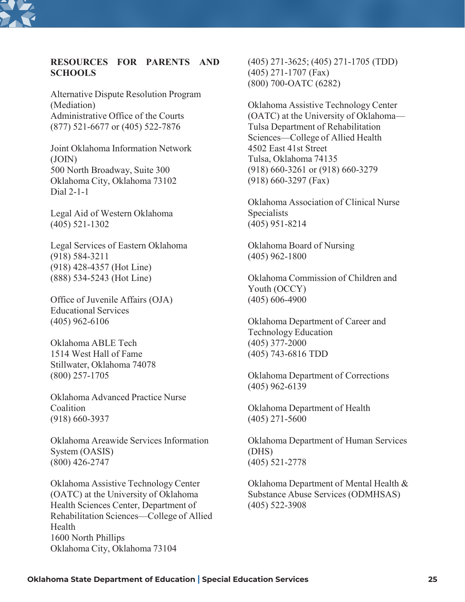

# **RESOURCES FOR PARENTS AND SCHOOLS**

Alternative Dispute Resolution Program (Mediation) Administrative Office of the Courts (877) 521-6677 or (405) 522-7876

Joint Oklahoma Information Network (JOIN) 500 North Broadway, Suite 300 Oklahoma City, Oklahoma 73102 Dial 2-1-1

Legal Aid of Western Oklahoma (405) 521-1302

Legal Services of Eastern Oklahoma (918) 584-3211 (918) 428-4357 (Hot Line) (888) 534-5243 (Hot Line)

Office of Juvenile Affairs (OJA) Educational Services (405) 962-6106

Oklahoma ABLE Tech 1514 West Hall of Fame Stillwater, Oklahoma 74078 (800) 257-1705

Oklahoma Advanced Practice Nurse Coalition (918) 660-3937

Oklahoma Areawide Services Information System (OASIS) (800) 426-2747

Oklahoma Assistive Technology Center (OATC) at the University of Oklahoma Health Sciences Center, Department of Rehabilitation Sciences—College of Allied Health 1600 North Phillips Oklahoma City, Oklahoma 73104

(405) 271-3625; (405) 271-1705 (TDD) (405) 271-1707 (Fax) (800) 700-OATC (6282)

Oklahoma Assistive Technology Center (OATC) at the University of Oklahoma— Tulsa Department of Rehabilitation Sciences—College of Allied Health 4502 East 41st Street Tulsa, Oklahoma 74135 (918) 660-3261 or (918) 660-3279 (918) 660-3297 (Fax)

Oklahoma Association of Clinical Nurse Specialists (405) 951-8214

Oklahoma Board of Nursing (405) 962-1800

Oklahoma Commission of Children and Youth (OCCY) (405) 606-4900

Oklahoma Department of Career and Technology Education (405) 377-2000 (405) 743-6816 TDD

Oklahoma Department of Corrections (405) 962-6139

Oklahoma Department of Health (405) 271-5600

Oklahoma Department of Human Services (DHS) (405) 521-2778

Oklahoma Department of Mental Health & Substance Abuse Services (ODMHSAS) (405) 522-3908